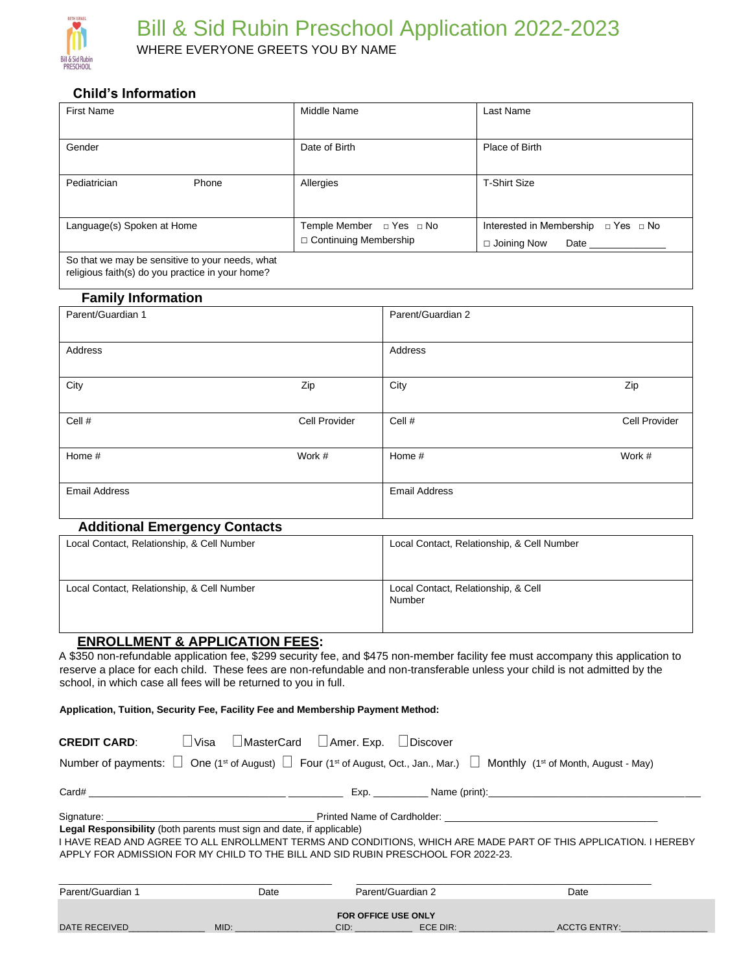

## **Child's Information**

| <b>First Name</b>                                                                                   | Middle Name                                         | Last Name                                                                              |  |
|-----------------------------------------------------------------------------------------------------|-----------------------------------------------------|----------------------------------------------------------------------------------------|--|
| Gender                                                                                              | Date of Birth                                       | Place of Birth                                                                         |  |
| Pediatrician<br>Phone                                                                               | Allergies                                           | <b>T-Shirt Size</b>                                                                    |  |
| Language(s) Spoken at Home                                                                          | Temple Member □ Yes □ No<br>□ Continuing Membership | Interested in Membership $\Box$ Yes $\Box$ No<br>$\Box$ Joining Now<br>Date __________ |  |
| So that we may be sensitive to your needs, what<br>religious faith(s) do you practice in your home? |                                                     |                                                                                        |  |

# **Family Information**

| Parent/Guardian 1       |        | Parent/Guardian 2    |               |
|-------------------------|--------|----------------------|---------------|
|                         |        |                      |               |
| Address                 |        | Address              |               |
|                         |        |                      |               |
| City<br>Zip             |        | City                 | Zip           |
|                         |        |                      |               |
| Cell #<br>Cell Provider |        | Cell #               | Cell Provider |
|                         |        |                      |               |
| Home #                  | Work # | Home #               | Work #        |
|                         |        |                      |               |
| <b>Email Address</b>    |        | <b>Email Address</b> |               |
|                         |        |                      |               |

#### **Additional Emergency Contacts**

| Local Contact, Relationship, & Cell Number | Local Contact, Relationship, & Cell Number    |
|--------------------------------------------|-----------------------------------------------|
| Local Contact, Relationship, & Cell Number | Local Contact, Relationship, & Cell<br>Number |

### **ENROLLMENT & APPLICATION FEES:**

A \$350 non-refundable application fee, \$299 security fee, and \$475 non-member facility fee must accompany this application to reserve a place for each child. These fees are non-refundable and non-transferable unless your child is not admitted by the school, in which case all fees will be returned to you in full.

**Application, Tuition, Security Fee, Facility Fee and Membership Payment Method:** 

| L Visa<br>□ MasterCard □ Amer. Exp. □ Discover<br><b>CREDIT CARD:</b><br>Number of payments: $\Box$ One (1 <sup>st</sup> of August) $\Box$ Four (1 <sup>st</sup> of August, Oct., Jan., Mar.) $\Box$ Monthly (1 <sup>st</sup> of Month, August - May)                         |                                                                                                                 |                            |  |                    |  |
|-------------------------------------------------------------------------------------------------------------------------------------------------------------------------------------------------------------------------------------------------------------------------------|-----------------------------------------------------------------------------------------------------------------|----------------------------|--|--------------------|--|
|                                                                                                                                                                                                                                                                               |                                                                                                                 |                            |  | Exp. Name (print): |  |
| Legal Responsibility (both parents must sign and date, if applicable)<br>I HAVE READ AND AGREE TO ALL ENROLLMENT TERMS AND CONDITIONS, WHICH ARE MADE PART OF THIS APPLICATION. I HEREBY<br>APPLY FOR ADMISSION FOR MY CHILD TO THE BILL AND SID RUBIN PRESCHOOL FOR 2022-23. |                                                                                                                 |                            |  |                    |  |
| Parent/Guardian 1                                                                                                                                                                                                                                                             | Date                                                                                                            | Parent/Guardian 2          |  | Date               |  |
| DATE RECEIVED AND ACCOUNTS AND RECEIVED                                                                                                                                                                                                                                       | MID: And the state of the state of the state of the state of the state of the state of the state of the state o | <b>FOR OFFICE USE ONLY</b> |  |                    |  |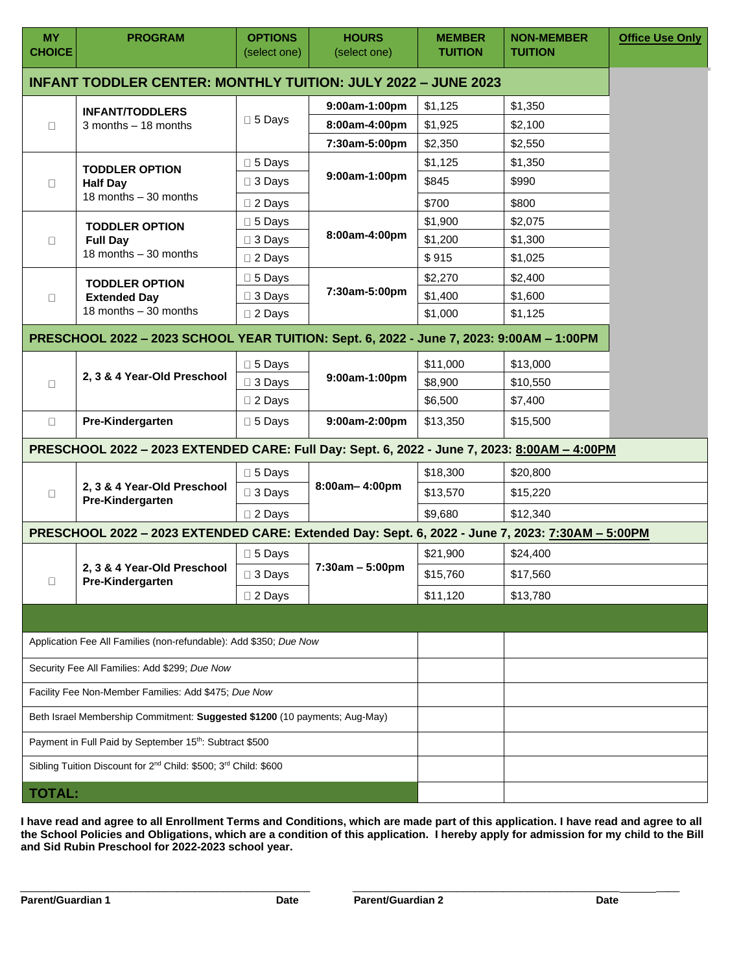| <b>MY</b><br><b>CHOICE</b>                                                              | <b>PROGRAM</b>                                                                                   | <b>OPTIONS</b><br>(select one) | <b>HOURS</b><br>(select one) | <b>MEMBER</b><br><b>TUITION</b> | <b>NON-MEMBER</b><br><b>TUITION</b> | <b>Office Use Only</b> |  |
|-----------------------------------------------------------------------------------------|--------------------------------------------------------------------------------------------------|--------------------------------|------------------------------|---------------------------------|-------------------------------------|------------------------|--|
| <b>INFANT TODDLER CENTER: MONTHLY TUITION: JULY 2022 - JUNE 2023</b>                    |                                                                                                  |                                |                              |                                 |                                     |                        |  |
| <b>INFANT/TODDLERS</b><br>$3$ months $-18$ months<br>$\Box$                             | 9:00am-1:00pm<br>$\square$ 5 Days<br>8:00am-4:00pm                                               | \$1,125                        | \$1,350                      |                                 |                                     |                        |  |
|                                                                                         |                                                                                                  |                                | \$1,925                      | \$2,100                         |                                     |                        |  |
|                                                                                         |                                                                                                  |                                | 7:30am-5:00pm                | \$2,350                         | \$2,550                             |                        |  |
|                                                                                         | <b>TODDLER OPTION</b>                                                                            | $\Box$ 5 Days                  | 9:00am-1:00pm                | \$1,125                         | \$1,350                             |                        |  |
| $\Box$                                                                                  | <b>Half Day</b>                                                                                  | $\Box$ 3 Days                  |                              | \$845                           | \$990                               |                        |  |
|                                                                                         | 18 months - 30 months                                                                            | □ 2 Days                       |                              | \$700                           | \$800                               |                        |  |
|                                                                                         | <b>TODDLER OPTION</b>                                                                            | $\Box$ 5 Days                  |                              | \$1,900                         | \$2,075                             |                        |  |
| $\Box$                                                                                  | <b>Full Day</b>                                                                                  | $\Box$ 3 Days                  | 8:00am-4:00pm                | \$1,200                         | \$1,300                             |                        |  |
|                                                                                         | 18 months - 30 months                                                                            | $\Box$ 2 Days                  |                              | \$915                           | \$1,025                             |                        |  |
|                                                                                         | <b>TODDLER OPTION</b>                                                                            | $\square$ 5 Days               |                              | \$2,270                         | \$2,400                             |                        |  |
| $\Box$                                                                                  | <b>Extended Day</b>                                                                              | $\Box$ 3 Days                  | 7:30am-5:00pm                | \$1,400                         | \$1,600                             |                        |  |
|                                                                                         | 18 months - 30 months                                                                            | $\square$ 2 Days               |                              | \$1,000                         | \$1,125                             |                        |  |
|                                                                                         | PRESCHOOL 2022 - 2023 SCHOOL YEAR TUITION: Sept. 6, 2022 - June 7, 2023: 9:00AM - 1:00PM         |                                |                              |                                 |                                     |                        |  |
|                                                                                         |                                                                                                  | $\square$ 5 Days               |                              | \$11,000                        | \$13,000                            |                        |  |
| $\Box$                                                                                  | 2, 3 & 4 Year-Old Preschool                                                                      | $\Box$ 3 Days                  | 9:00am-1:00pm                | \$8,900                         | \$10,550                            |                        |  |
|                                                                                         |                                                                                                  | $\square$ 2 Days               |                              | \$6,500                         | \$7,400                             |                        |  |
| $\Box$                                                                                  | Pre-Kindergarten                                                                                 | $\square$ 5 Days               | 9:00am-2:00pm                | \$13,350                        | \$15,500                            |                        |  |
|                                                                                         | PRESCHOOL 2022 - 2023 EXTENDED CARE: Full Day: Sept. 6, 2022 - June 7, 2023: 8:00AM - 4:00PM     |                                |                              |                                 |                                     |                        |  |
|                                                                                         |                                                                                                  | $\Box$ 5 Days                  | 8:00am-4:00pm                | \$18,300                        | \$20,800                            |                        |  |
| $\Box$                                                                                  | 2, 3 & 4 Year-Old Preschool<br>Pre-Kindergarten                                                  | $\Box$ 3 Days                  |                              | \$13,570                        | \$15,220                            |                        |  |
|                                                                                         |                                                                                                  | $\square$ 2 Days               |                              | \$9,680                         | \$12,340                            |                        |  |
|                                                                                         | PRESCHOOL 2022 - 2023 EXTENDED CARE: Extended Day: Sept. 6, 2022 - June 7, 2023: 7:30AM - 5:00PM |                                |                              |                                 |                                     |                        |  |
|                                                                                         |                                                                                                  | □ 5 Days                       |                              | \$21,900                        | \$24,400                            |                        |  |
|                                                                                         | 2, 3 & 4 Year-Old Preschool                                                                      | □ 3 Days                       | $7:30am - 5:00pm$            | \$15,760                        | \$17,560                            |                        |  |
| О                                                                                       | Pre-Kindergarten                                                                                 | $\Box$ 2 Days                  |                              | \$11,120                        | \$13,780                            |                        |  |
|                                                                                         |                                                                                                  |                                |                              |                                 |                                     |                        |  |
|                                                                                         | Application Fee All Families (non-refundable): Add \$350; Due Now                                |                                |                              |                                 |                                     |                        |  |
| Security Fee All Families: Add \$299; Due Now                                           |                                                                                                  |                                |                              |                                 |                                     |                        |  |
|                                                                                         |                                                                                                  |                                |                              |                                 |                                     |                        |  |
| Facility Fee Non-Member Families: Add \$475; Due Now                                    |                                                                                                  |                                |                              |                                 |                                     |                        |  |
| Beth Israel Membership Commitment: Suggested \$1200 (10 payments; Aug-May)              |                                                                                                  |                                |                              |                                 |                                     |                        |  |
| Payment in Full Paid by September 15th: Subtract \$500                                  |                                                                                                  |                                |                              |                                 |                                     |                        |  |
| Sibling Tuition Discount for 2 <sup>nd</sup> Child: \$500; 3 <sup>rd</sup> Child: \$600 |                                                                                                  |                                |                              |                                 |                                     |                        |  |
| <b>TOTAL:</b>                                                                           |                                                                                                  |                                |                              |                                 |                                     |                        |  |

**I have read and agree to all Enrollment Terms and Conditions, which are made part of this application. I have read and agree to all the School Policies and Obligations, which are a condition of this application. I hereby apply for admission for my child to the Bill and Sid Rubin Preschool for 2022-2023 school year.** 

\_\_\_\_\_\_\_\_\_\_\_\_\_\_\_\_\_\_\_\_\_\_\_\_\_\_\_\_\_\_\_\_\_\_\_\_\_\_\_\_\_\_\_\_\_\_\_\_\_\_ \_\_\_\_\_\_\_\_\_\_\_\_\_\_\_\_\_\_\_\_\_\_\_\_\_\_\_\_\_\_\_\_\_\_\_\_\_\_\_\_\_\_\_\_\_\_ \_\_\_\_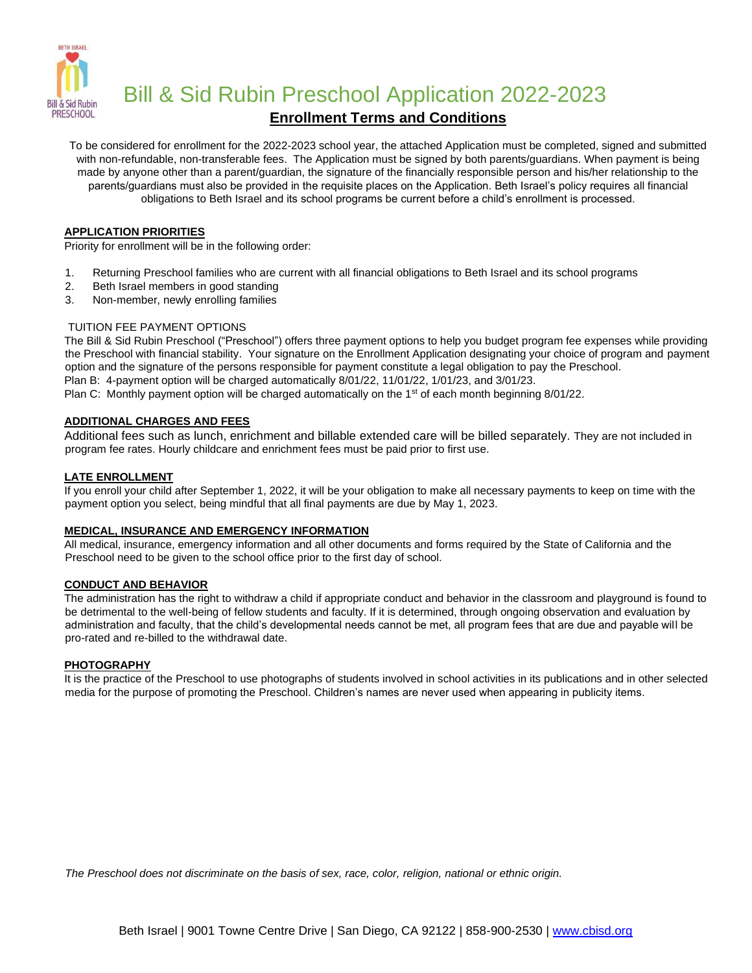

**Bill & Sid Rubin Preschool Application 2022-2023** 

## **Enrollment Terms and Conditions**

To be considered for enrollment for the 2022-2023 school year, the attached Application must be completed, signed and submitted with non-refundable, non-transferable fees. The Application must be signed by both parents/guardians. When payment is being made by anyone other than a parent/guardian, the signature of the financially responsible person and his/her relationship to the parents/guardians must also be provided in the requisite places on the Application. Beth Israel's policy requires all financial obligations to Beth Israel and its school programs be current before a child's enrollment is processed.

#### **APPLICATION PRIORITIES**

Priority for enrollment will be in the following order:

- 1. Returning Preschool families who are current with all financial obligations to Beth Israel and its school programs
- 2. Beth Israel members in good standing
- 3. Non-member, newly enrolling families

#### TUITION FEE PAYMENT OPTIONS

The Bill & Sid Rubin Preschool ("Preschool") offers three payment options to help you budget program fee expenses while providing the Preschool with financial stability. Your signature on the Enrollment Application designating your choice of program and payment option and the signature of the persons responsible for payment constitute a legal obligation to pay the Preschool. Plan B: 4-payment option will be charged automatically 8/01/22, 11/01/22, 1/01/23, and 3/01/23.

Plan C: Monthly payment option will be charged automatically on the 1<sup>st</sup> of each month beginning  $8/01/22$ .

#### **ADDITIONAL CHARGES AND FEES**

Additional fees such as lunch, enrichment and billable extended care will be billed separately. They are not included in program fee rates. Hourly childcare and enrichment fees must be paid prior to first use.

#### **LATE ENROLLMENT**

If you enroll your child after September 1, 2022, it will be your obligation to make all necessary payments to keep on time with the payment option you select, being mindful that all final payments are due by May 1, 2023.

#### **MEDICAL, INSURANCE AND EMERGENCY INFORMATION**

All medical, insurance, emergency information and all other documents and forms required by the State of California and the Preschool need to be given to the school office prior to the first day of school.

#### **CONDUCT AND BEHAVIOR**

The administration has the right to withdraw a child if appropriate conduct and behavior in the classroom and playground is found to be detrimental to the well-being of fellow students and faculty. If it is determined, through ongoing observation and evaluation by administration and faculty, that the child's developmental needs cannot be met, all program fees that are due and payable will be pro-rated and re-billed to the withdrawal date.

#### **PHOTOGRAPHY**

It is the practice of the Preschool to use photographs of students involved in school activities in its publications and in other selected media for the purpose of promoting the Preschool. Children's names are never used when appearing in publicity items.

*The Preschool does not discriminate on the basis of sex, race, color, religion, national or ethnic origin.*